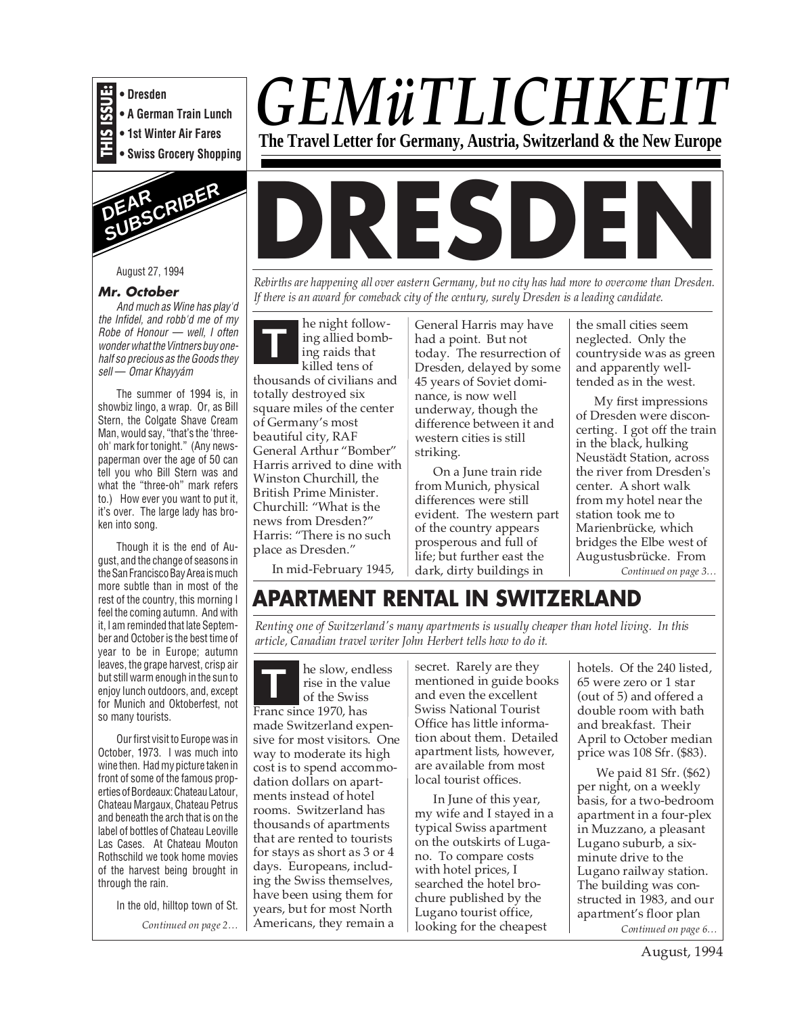

**• A German Train Lunch**

**• 1st Winter Air Fares**

**• Swiss Grocery Shopping**



August 27, 1994

### **Mr. October**

And much as Wine has play'd the Infidel, and robb'd me of my Robe of Honour — well, I often wonder what the Vintners buy onehalf so precious as the Goods they sell — Omar Khayyám

The summer of 1994 is, in showbiz lingo, a wrap. Or, as Bill Stern, the Colgate Shave Cream Man, would say, "that's the 'threeoh' mark for tonight." (Any newspaperman over the age of 50 can tell you who Bill Stern was and what the "three-oh" mark refers to.) How ever you want to put it, it's over. The large lady has broken into song.

Though it is the end of August, and the change of seasons in the San Francisco Bay Area is much more subtle than in most of the rest of the country, this morning I feel the coming autumn. And with it, I am reminded that late September and October is the best time of year to be in Europe; autumn leaves, the grape harvest, crisp air but still warm enough in the sun to enjoy lunch outdoors, and, except for Munich and Oktoberfest, not so many tourists.

Our first visit to Europe was in October, 1973. I was much into wine then. Had my picture taken in front of some of the famous properties of Bordeaux: Chateau Latour, Chateau Margaux, Chateau Petrus and beneath the arch that is on the label of bottles of Chateau Leoville Las Cases. At Chateau Mouton Rothschild we took home movies of the harvest being brought in through the rain.

In the old, hilltop town of St.

*Continued on page 2…*



**DRESDEN**

*Rebirths are happening all over eastern Germany, but no city has had more to overcome than Dresden. If there is an award for comeback city of the century, surely Dresden is a leading candidate.*

he night following allied bombing raids that killed tens of thousands of civilians and totally destroyed six square miles of the center of Germany's most beautiful city, RAF General Arthur "Bomber" Harris arrived to dine with Winston Churchill, the British Prime Minister. Churchill: "What is the news from Dresden?" Harris: "There is no such place as Dresden." **T**

General Harris may have had a point. But not today. The resurrection of Dresden, delayed by some 45 years of Soviet dominance, is now well underway, though the difference between it and western cities is still striking.

On a June train ride from Munich, physical differences were still evident. The western part of the country appears prosperous and full of life; but further east the In mid-February 1945, | dark, dirty buildings in | Continued on page 3...

the small cities seem neglected. Only the countryside was as green and apparently welltended as in the west.

My first impressions of Dresden were disconcerting. I got off the train in the black, hulking Neustädt Station, across the river from Dresden's center. A short walk from my hotel near the station took me to Marienbrücke, which bridges the Elbe west of Augustusbrücke. From

# **APARTMENT RENTAL IN SWITZERLAND**

*Renting one of Switzerland's many apartments is usually cheaper than hotel living. In this article, Canadian travel writer John Herbert tells how to do it.*

he slow, endless rise in the value of the Swiss Franc since 1970, has made Switzerland expensive for most visitors. One way to moderate its high cost is to spend accommodation dollars on apartments instead of hotel rooms. Switzerland has thousands of apartments that are rented to tourists for stays as short as 3 or 4 days. Europeans, including the Swiss themselves, have been using them for years, but for most North Americans, they remain a **T**

secret. Rarely are they mentioned in guide books and even the excellent Swiss National Tourist Office has little information about them. Detailed apartment lists, however, are available from most local tourist offices.

In June of this year, my wife and I stayed in a typical Swiss apartment on the outskirts of Lugano. To compare costs with hotel prices, I searched the hotel brochure published by the Lugano tourist office, looking for the cheapest

hotels. Of the 240 listed, 65 were zero or 1 star (out of 5) and offered a double room with bath and breakfast. Their April to October median price was 108 Sfr. (\$83).

We paid 81 Sfr. (\$62) per night, on a weekly basis, for a two-bedroom apartment in a four-plex in Muzzano, a pleasant Lugano suburb, a sixminute drive to the Lugano railway station. The building was constructed in 1983, and our apartment's floor plan *Continued on page 6…*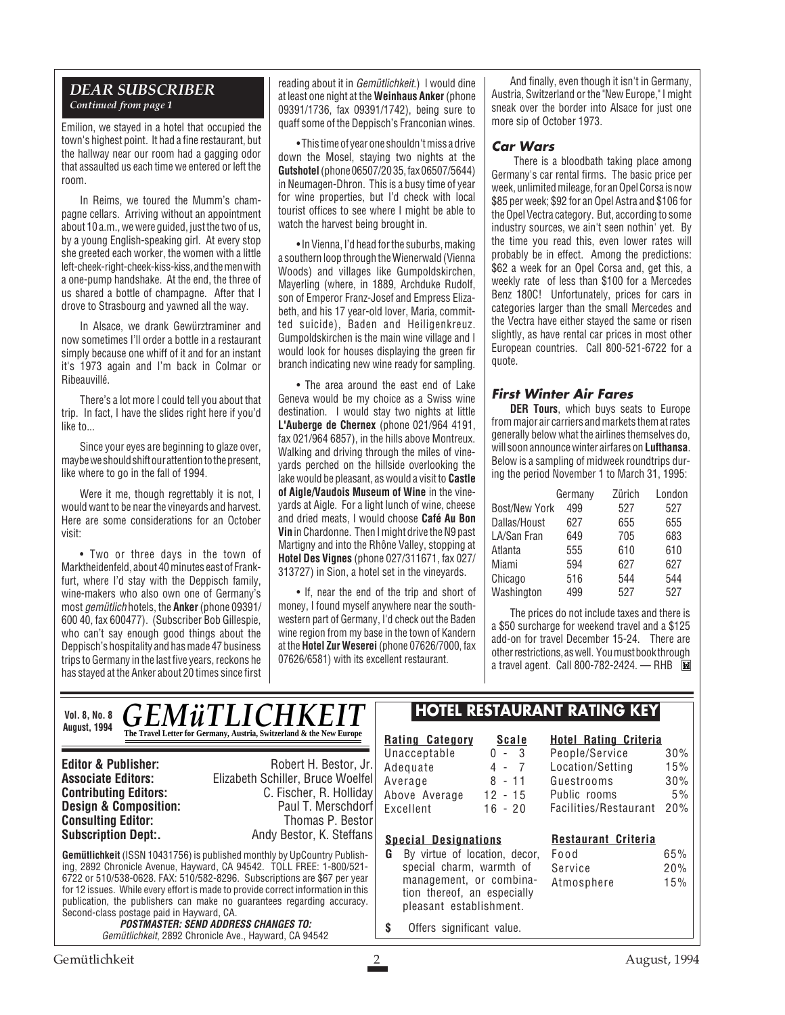## *DEAR SUBSCRIBER Continued from page 1*

Emilion, we stayed in a hotel that occupied the town's highest point. It had a fine restaurant, but the hallway near our room had a gagging odor that assaulted us each time we entered or left the room.

In Reims, we toured the Mumm's champagne cellars. Arriving without an appointment about 10 a.m., we were guided, just the two of us, by a young English-speaking girl. At every stop she greeted each worker, the women with a little left-cheek-right-cheek-kiss-kiss, and the men with a one-pump handshake. At the end, the three of us shared a bottle of champagne. After that I drove to Strasbourg and yawned all the way.

In Alsace, we drank Gewürztraminer and now sometimes I'll order a bottle in a restaurant simply because one whiff of it and for an instant it's 1973 again and I'm back in Colmar or Ribeauvillé.

There's a lot more I could tell you about that trip. In fact, I have the slides right here if you'd like to...

Since your eyes are beginning to glaze over. maybe we should shift our attention to the present, like where to go in the fall of 1994.

Were it me, though regrettably it is not, I would want to be near the vineyards and harvest. Here are some considerations for an October visit:

• Two or three days in the town of Marktheidenfeld, about 40 minutes east of Frankfurt, where I'd stay with the Deppisch family, wine-makers who also own one of Germany's most gemütlich hotels, the **Anker** (phone 09391/ 600 40, fax 600477). (Subscriber Bob Gillespie, who can't say enough good things about the Deppisch's hospitality and has made 47 business trips to Germany in the last five years, reckons he has stayed at the Anker about 20 times since first reading about it in Gemütlichkeit.) I would dine at least one night at the **Weinhaus Anker** (phone 09391/1736, fax 09391/1742), being sure to quaff some of the Deppisch's Franconian wines.

• This time of year one shouldn't miss a drive down the Mosel, staying two nights at the **Gutshotel** (phone 06507/20 35, fax 06507/5644) in Neumagen-Dhron. This is a busy time of year for wine properties, but I'd check with local tourist offices to see where I might be able to watch the harvest being brought in.

• In Vienna, I'd head for the suburbs, making a southern loop through the Wienerwald (Vienna Woods) and villages like Gumpoldskirchen, Mayerling (where, in 1889, Archduke Rudolf, son of Emperor Franz-Josef and Empress Elizabeth, and his 17 year-old lover, Maria, committed suicide), Baden and Heiligenkreuz. Gumpoldskirchen is the main wine village and I would look for houses displaying the green fir branch indicating new wine ready for sampling.

• The area around the east end of Lake Geneva would be my choice as a Swiss wine destination. I would stay two nights at little **L'Auberge de Chernex** (phone 021/964 4191, fax 021/964 6857), in the hills above Montreux. Walking and driving through the miles of vineyards perched on the hillside overlooking the lake would be pleasant, as would a visit to **Castle of Aigle/Vaudois Museum of Wine** in the vineyards at Aigle. For a light lunch of wine, cheese and dried meats, I would choose **Café Au Bon Vin** in Chardonne. Then I might drive the N9 past Martigny and into the Rhône Valley, stopping at **Hotel Des Vignes** (phone 027/311671, fax 027/ 313727) in Sion, a hotel set in the vineyards.

• If, near the end of the trip and short of money, I found myself anywhere near the southwestern part of Germany, I'd check out the Baden wine region from my base in the town of Kandern at the **Hotel Zur Weserei** (phone 07626/7000, fax 07626/6581) with its excellent restaurant.

 $\mathbb{R}$ 

And finally, even though it isn't in Germany, Austria, Switzerland or the "New Europe," I might sneak over the border into Alsace for just one more sip of October 1973.

#### **Car Wars**

There is a bloodbath taking place among Germany's car rental firms. The basic price per week, unlimited mileage, for an Opel Corsa is now \$85 per week; \$92 for an Opel Astra and \$106 for the Opel Vectra category. But, according to some industry sources, we ain't seen nothin' yet. By the time you read this, even lower rates will probably be in effect. Among the predictions: \$62 a week for an Opel Corsa and, get this, a weekly rate of less than \$100 for a Mercedes Benz 180C! Unfortunately, prices for cars in categories larger than the small Mercedes and the Vectra have either stayed the same or risen slightly, as have rental car prices in most other European countries. Call 800-521-6722 for a quote.

## **First Winter Air Fares**

**DER Tours**, which buys seats to Europe from major air carriers and markets them at rates generally below what the airlines themselves do, will soon announce winter airfares on **Lufthansa**. Below is a sampling of midweek roundtrips during the period November 1 to March 31, 1995:

|                      | Germany | Zürich | London |
|----------------------|---------|--------|--------|
| <b>Bost/New York</b> | 499     | 527    | 527    |
| Dallas/Houst         | 627     | 655    | 655    |
| LA/San Fran          | 649     | 705    | 683    |
| Atlanta              | 555     | 610    | 610    |
| Miami                | 594     | 627    | 627    |
| Chicago              | 516     | 544    | 544    |
| Washington           | 499     | 527    | 527    |

The prices do not include taxes and there is a \$50 surcharge for weekend travel and a \$125 add-on for travel December 15-24. There are other restrictions, as well. You must book through a travel agent. Call 800-782-2424. — RHB

| <b>August, 1994</b> | VOI. 8, No. 8 <b>GEMÜTLICHKEIT</b><br>The Travel Letter for Germany, Austria, Switzerland & the New Europe |
|---------------------|------------------------------------------------------------------------------------------------------------|

**Consulting Editor:**<br>Subscription Dept:.

**Editor & Publisher:** Robert H. Bestor, Jr. **Associate Editors:** Elizabeth Schiller, Bruce Woelfel **C. Fischer, R. Holliday**<br>Paul T. Merschdorf **Design & Composition:** Paul T. Merschdorf **Consulting Editor:** Paul T. Merschdorf **Consulting Editor:** Paul Thomas P. Bestor Andy Bestor, K. Steffans

**Gemütlichkeit** (ISSN 10431756) is published monthly by UpCountry Publishing, 2892 Chronicle Avenue, Hayward, CA 94542. TOLL FREE: 1-800/521- 6722 or 510/538-0628. FAX: 510/582-8296. Subscriptions are \$67 per year for 12 issues. While every effort is made to provide correct information in this publication, the publishers can make no guarantees regarding accuracy. Second-class postage paid in Hayward, CA.

**POSTMASTER: SEND ADDRESS CHANGES TO:** Gemütlichkeit, 2892 Chronicle Ave., Hayward, CA 94542

## **HOTEL RESTAURANT RATING KEY**

**Rating Category Scale** Unacceptable 0 - 3<br>Adequate 4 - 7 Adequate 4 - 7<br>Average 8 - 11 Average Above Average 12 - 15 Excellent 16 - 20

# **Hotel Rating Criteria** People/Service 30%

### Location/Setting 15% Guestrooms 30% Public rooms 5%

Facilities/Restaurant 20%

### **Special Designations**

**G** By virtue of location, decor, special charm, warmth of management, or combination thereof, an especially pleasant establishment.

| <b>Restaurant Criteria</b> |     |
|----------------------------|-----|
| Food                       | 65% |
| Service                    | 20% |
| Atmosphere                 | 15% |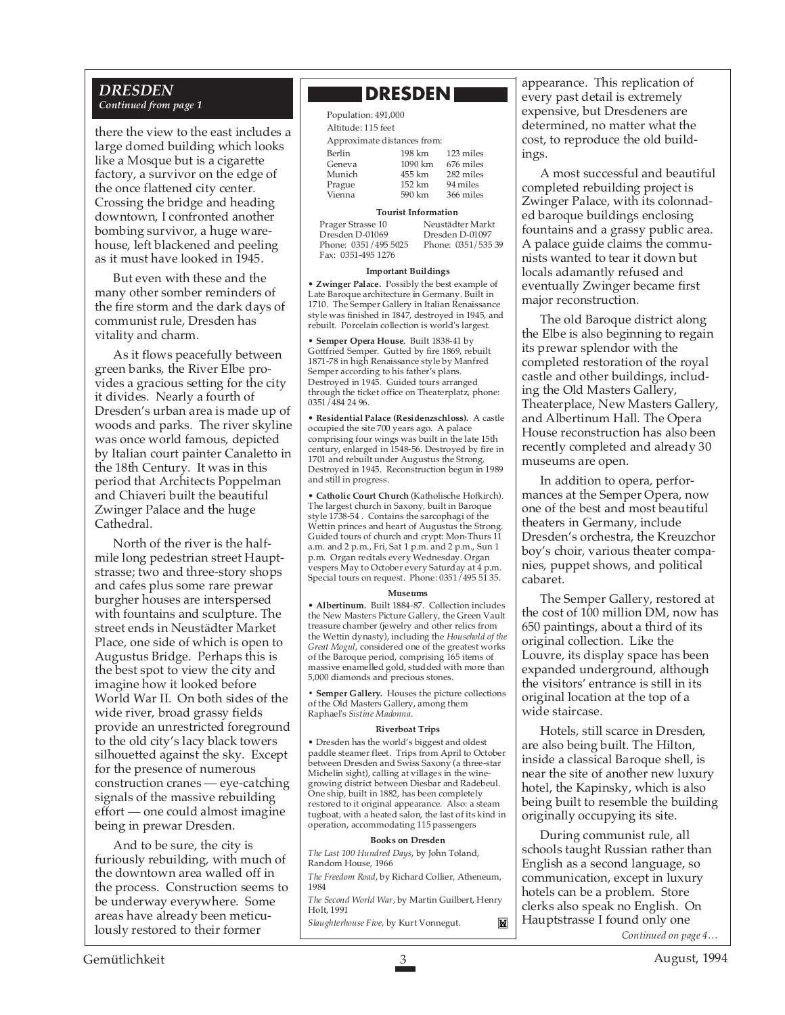#### *DRESDEN Continued from page 1*

there the view to the east includes a large domed building which looks like a Mosque but is a cigarette factory, a survivor on the edge of the once flattened city center. Crossing the bridge and heading downtown, I confronted another bombing survivor, a huge warehouse, left blackened and peeling as it must have looked in 1945.

But even with these and the many other somber reminders of the fire storm and the dark days of communist rule, Dresden has vitality and charm.

As it flows peacefully between green banks, the River Elbe provides a gracious setting for the city it divides. Nearly a fourth of Dresden's urban area is made up of woods and parks. The river skyline was once world famous, depicted by Italian court painter Canaletto in the 18th Century. It was in this period that Architects Poppelman and Chiaveri built the beautiful Zwinger Palace and the huge Cathedral.

North of the river is the halfmile long pedestrian street Hauptstrasse; two and three-story shops and cafes plus some rare prewar burgher houses are interspersed with fountains and sculpture. The street ends in Neustädter Market Place, one side of which is open to Augustus Bridge. Perhaps this is the best spot to view the city and imagine how it looked before World War II. On both sides of the wide river, broad grassy fields provide an unrestricted foreground to the old city's lacy black towers silhouetted against the sky. Except for the presence of numerous construction cranes — eye-catching signals of the massive rebuilding effort — one could almost imagine being in prewar Dresden.

And to be sure, the city is furiously rebuilding, with much of the downtown area walled off in the process. Construction seems to be underway everywhere. Some areas have already been meticulously restored to their former

## **NDRESDENI**

| Population: 491,000         |         |           |  |  |  |
|-----------------------------|---------|-----------|--|--|--|
| Altitude: 115 feet          |         |           |  |  |  |
| Approximate distances from: |         |           |  |  |  |
| Berlin                      | 198 km  | 123 miles |  |  |  |
| Geneva                      | 1090 km | 676 miles |  |  |  |
| Munich                      | 455 km  | 282 miles |  |  |  |
| Prague                      | 152 km  | 94 miles  |  |  |  |
| Vienna                      | 590 km  | 366 miles |  |  |  |

#### **Tourist Information**

Prager Strasse 10 Neustädter Markt<br>Dresden D-01069 Dresden D-01097 Dresden D-01069 Dresden D-01097 Phone: 0351/535 39 Fax: 0351-495 1276

#### **Important Buildings**

• **Zwinger Palace.** Possibly the best example of Late Baroque architecture in Germany. Built in 1710. The Semper Gallery in Italian Renaissance style was finished in 1847, destroyed in 1945, and rebuilt. Porcelain collection is world's largest.

• **Semper Opera House**. Built 1838-41 by Gottfried Semper. Gutted by fire 1869, rebuilt 1871-78 in high Renaissance style by Manfred Semper according to his father's plans. Destroyed in 1945. Guided tours arranged through the ticket office on Theaterplatz, phone: 0351/484 24 96.

• **Residential Palace (Residenzschloss).** A castle occupied the site 700 years ago. A palace comprising four wings was built in the late 15th century, enlarged in 1548-56. Destroyed by fire in 1701 and rebuilt under Augustus the Strong. Destroyed in 1945. Reconstruction begun in 1989 and still in progress.

• **Catholic Court Church** (Katholische Hofkirch). The largest church in Saxony, built in Baroque style 1738-54 . Contains the sarcophagi of the Wettin princes and heart of Augustus the Strong. Guided tours of church and crypt: Mon-Thurs 11 a.m. and 2 p.m., Fri, Sat 1 p.m. and 2 p.m., Sun 1 p.m. Organ recitals every Wednesday. Organ vespers May to October every Saturday at 4 p.m. Special tours on request. Phone: 0351/495 51 35.

#### **Museums**

• **Albertinum.** Built 1884-87. Collection includes the New Masters Picture Gallery, the Green Vault treasure chamber (jewelry and other relics from the Wettin dynasty), including the *Household of the Great Mogul*, considered one of the greatest works of the Baroque period, comprising 165 items of massive enamelled gold, studded with more than 5,000 diamonds and precious stones.

**• Semper Gallery.** Houses the picture collections of the Old Masters Gallery, among them Raphael's *Sistine Madonna*.

#### **Riverboat Trips**

• Dresden has the world's biggest and oldest paddle steamer fleet. Trips from April to October between Dresden and Swiss Saxony (a three-star Michelin sight), calling at villages in the winegrowing district between Diesbar and Radebeul. One ship, built in 1882, has been completely restored to it original appearance. Also: a steam tugboat, with a heated salon, the last of its kind in operation, accommodating 115 passengers

#### **Books on Dresden**

*The Last 100 Hundred Days*, by John Toland, Random House, 1966 *The Freedom Road*, by Richard Collier, Atheneum, 1984 *The Second World War*, by Martin Guilbert, Henry Holt, 1991

*Slaughterhouse Five*, by Kurt Vonnegut.

M

appearance. This replication of every past detail is extremely expensive, but Dresdeners are determined, no matter what the cost, to reproduce the old buildings.

A most successful and beautiful completed rebuilding project is Zwinger Palace, with its colonnaded baroque buildings enclosing fountains and a grassy public area. A palace guide claims the communists wanted to tear it down but locals adamantly refused and eventually Zwinger became first major reconstruction.

The old Baroque district along the Elbe is also beginning to regain its prewar splendor with the completed restoration of the royal castle and other buildings, including the Old Masters Gallery, Theaterplace, New Masters Gallery, and Albertinum Hall. The Opera House reconstruction has also been recently completed and already 30 museums are open.

In addition to opera, performances at the Semper Opera, now one of the best and most beautiful theaters in Germany, include Dresden's orchestra, the Kreuzchor boy's choir, various theater companies, puppet shows, and political cabaret.

The Semper Gallery, restored at the cost of 100 million DM, now has 650 paintings, about a third of its original collection. Like the Louvre, its display space has been expanded underground, although the visitors' entrance is still in its original location at the top of a wide staircase.

Hotels, still scarce in Dresden, are also being built. The Hilton, inside a classical Baroque shell, is near the site of another new luxury hotel, the Kapinsky, which is also being built to resemble the building originally occupying its site.

During communist rule, all schools taught Russian rather than English as a second language, so communication, except in luxury hotels can be a problem. Store clerks also speak no English. On Hauptstrasse I found only one *Continued on page 4…*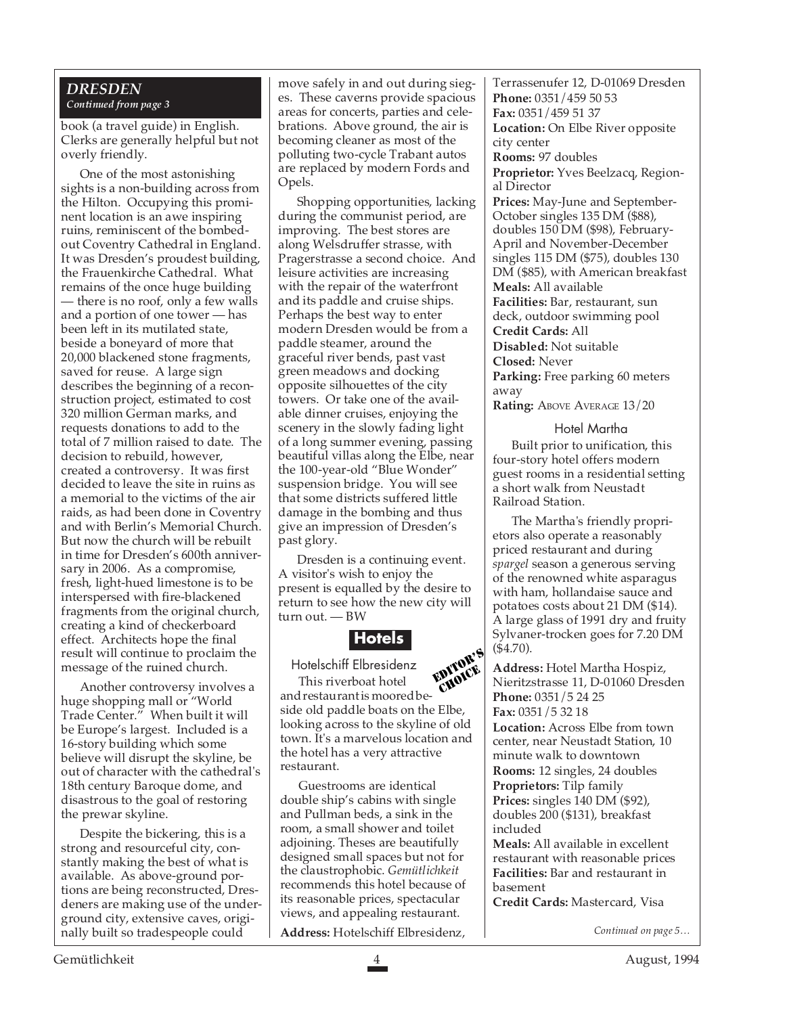#### *DRESDEN Continued from page 3*

book (a travel guide) in English. Clerks are generally helpful but not overly friendly.

One of the most astonishing sights is a non-building across from the Hilton. Occupying this prominent location is an awe inspiring ruins, reminiscent of the bombedout Coventry Cathedral in England. It was Dresden's proudest building, the Frauenkirche Cathedral. What remains of the once huge building — there is no roof, only a few walls and a portion of one tower — has been left in its mutilated state, beside a boneyard of more that 20,000 blackened stone fragments, saved for reuse. A large sign describes the beginning of a reconstruction project, estimated to cost 320 million German marks, and requests donations to add to the total of 7 million raised to date. The decision to rebuild, however, created a controversy. It was first decided to leave the site in ruins as a memorial to the victims of the air raids, as had been done in Coventry and with Berlin's Memorial Church. But now the church will be rebuilt in time for Dresden's 600th anniversary in 2006. As a compromise, fresh, light-hued limestone is to be interspersed with fire-blackened fragments from the original church, creating a kind of checkerboard effect. Architects hope the final result will continue to proclaim the message of the ruined church.

Another controversy involves a huge shopping mall or "World Trade Center." When built it will be Europe's largest. Included is a 16-story building which some believe will disrupt the skyline, be out of character with the cathedral's 18th century Baroque dome, and disastrous to the goal of restoring the prewar skyline.

Despite the bickering, this is a strong and resourceful city, constantly making the best of what is available. As above-ground portions are being reconstructed, Dresdeners are making use of the underground city, extensive caves, originally built so tradespeople could

move safely in and out during sieges. These caverns provide spacious areas for concerts, parties and celebrations. Above ground, the air is becoming cleaner as most of the polluting two-cycle Trabant autos are replaced by modern Fords and Opels.

Shopping opportunities, lacking during the communist period, are improving. The best stores are along Welsdruffer strasse, with Pragerstrasse a second choice. And leisure activities are increasing with the repair of the waterfront and its paddle and cruise ships. Perhaps the best way to enter modern Dresden would be from a paddle steamer, around the graceful river bends, past vast green meadows and docking opposite silhouettes of the city towers. Or take one of the available dinner cruises, enjoying the scenery in the slowly fading light of a long summer evening, passing beautiful villas along the Elbe, near the 100-year-old "Blue Wonder" suspension bridge. You will see that some districts suffered little damage in the bombing and thus give an impression of Dresden's past glory.

Dresden is a continuing event. A visitor's wish to enjoy the present is equalled by the desire to return to see how the new city will turn out. — BW

# **Hotels**

Hotelschiff Elbresidenz This riverboat hotel and restaurant is moored beside old paddle boats on the Elbe, looking across to the skyline of old town. It's a marvelous location and the hotel has a very attractive restaurant. EDITOR'S CHOICE

Guestrooms are identical double ship's cabins with single and Pullman beds, a sink in the room, a small shower and toilet adjoining. Theses are beautifully designed small spaces but not for the claustrophobic. *Gemütlichkeit* recommends this hotel because of its reasonable prices, spectacular views, and appealing restaurant.

**Address:** Hotelschiff Elbresidenz,

Terrassenufer 12, D-01069 Dresden **Phone:** 0351/459 50 53 **Fax:** 0351/459 51 37 **Location:** On Elbe River opposite city center **Rooms:** 97 doubles **Proprietor:** Yves Beelzacq, Regional Director **Prices:** May-June and September-October singles 135 DM (\$88), doubles 150 DM (\$98), February-April and November-December singles 115 DM (\$75), doubles 130 DM (\$85), with American breakfast **Meals:** All available **Facilities:** Bar, restaurant, sun deck, outdoor swimming pool **Credit Cards:** All **Disabled:** Not suitable **Closed:** Never **Parking:** Free parking 60 meters away **Rating:** ABOVE AVERAGE 13/20

Hotel Martha

Built prior to unification, this four-story hotel offers modern guest rooms in a residential setting a short walk from Neustadt Railroad Station.

The Martha's friendly proprietors also operate a reasonably priced restaurant and during *spargel* season a generous serving of the renowned white asparagus with ham, hollandaise sauce and potatoes costs about 21 DM (\$14). A large glass of 1991 dry and fruity Sylvaner-trocken goes for 7.20 DM (\$4.70).

**Address:** Hotel Martha Hospiz, Nieritzstrasse 11, D-01060 Dresden **Phone:** 0351/5 24 25 **Fax:** 0351/5 32 18 **Location:** Across Elbe from town center, near Neustadt Station, 10 minute walk to downtown **Rooms:** 12 singles, 24 doubles **Proprietors:** Tilp family **Prices:** singles 140 DM (\$92), doubles 200 (\$131), breakfast included **Meals:** All available in excellent restaurant with reasonable prices **Facilities:** Bar and restaurant in basement

**Credit Cards:** Mastercard, Visa

*Continued on page 5…*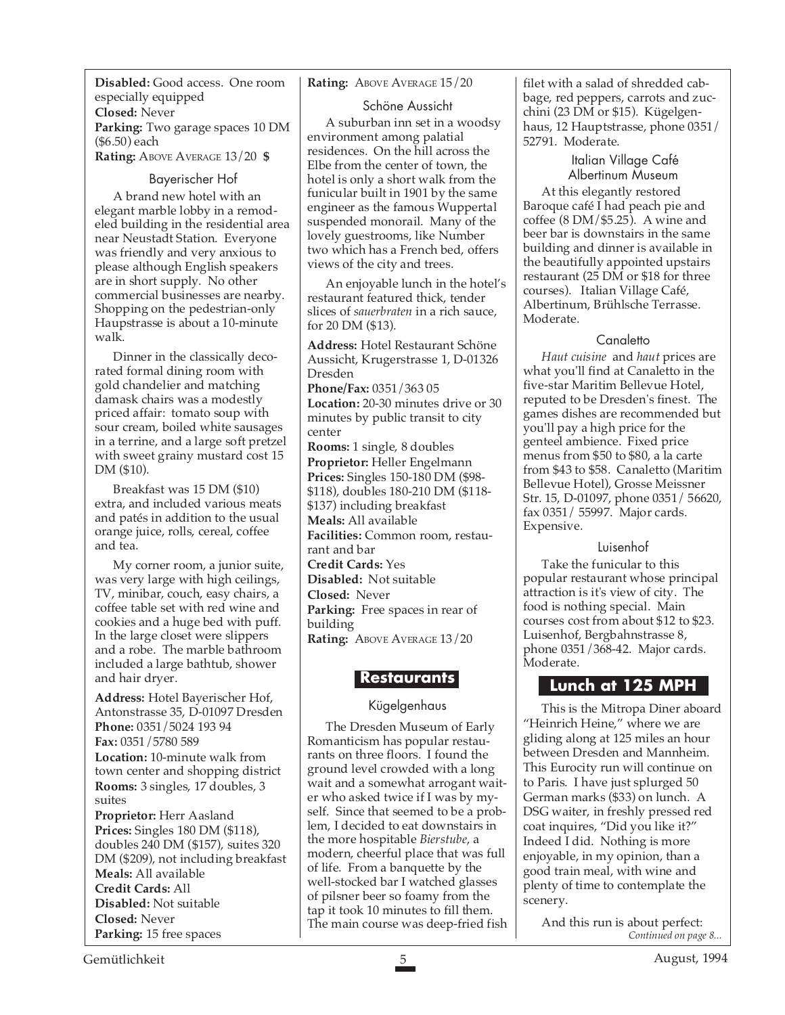**Disabled:** Good access. One room especially equipped **Closed:** Never **Parking:** Two garage spaces 10 DM (\$6.50) each **Rating:** ABOVE AVERAGE 13/20 **\$**

#### Bayerischer Hof

A brand new hotel with an elegant marble lobby in a remodeled building in the residential area near Neustadt Station. Everyone was friendly and very anxious to please although English speakers are in short supply. No other commercial businesses are nearby. Shopping on the pedestrian-only Haupstrasse is about a 10-minute walk.

Dinner in the classically decorated formal dining room with gold chandelier and matching damask chairs was a modestly priced affair: tomato soup with sour cream, boiled white sausages in a terrine, and a large soft pretzel with sweet grainy mustard cost 15 DM (\$10).

Breakfast was 15 DM (\$10) extra, and included various meats and patés in addition to the usual orange juice, rolls, cereal, coffee and tea.

My corner room, a junior suite, was very large with high ceilings, TV, minibar, couch, easy chairs, a coffee table set with red wine and cookies and a huge bed with puff. In the large closet were slippers and a robe. The marble bathroom included a large bathtub, shower and hair dryer.

**Address:** Hotel Bayerischer Hof, Antonstrasse 35, D-01097 Dresden **Phone:** 0351/5024 193 94 **Fax:** 0351/5780 589 **Location:** 10-minute walk from town center and shopping district **Rooms:** 3 singles, 17 doubles, 3 suites **Proprietor:** Herr Aasland

**Prices:** Singles 180 DM (\$118), doubles 240 DM (\$157), suites 320 DM (\$209), not including breakfast **Meals:** All available **Credit Cards:** All **Disabled:** Not suitable **Closed:** Never **Parking:** 15 free spaces

#### **Rating:** ABOVE AVERAGE 15/20

Schöne Aussicht

A suburban inn set in a woodsy environment among palatial residences. On the hill across the Elbe from the center of town, the hotel is only a short walk from the funicular built in 1901 by the same engineer as the famous Wuppertal suspended monorail. Many of the lovely guestrooms, like Number two which has a French bed, offers views of the city and trees.

An enjoyable lunch in the hotel's restaurant featured thick, tender slices of *sauerbraten* in a rich sauce, for 20 DM (\$13).

**Address:** Hotel Restaurant Schöne Aussicht, Krugerstrasse 1, D-01326 Dresden **Phone/Fax:** 0351/363 05 **Location:** 20-30 minutes drive or 30

minutes by public transit to city center

**Rooms:** 1 single, 8 doubles **Proprietor:** Heller Engelmann **Prices:** Singles 150-180 DM (\$98- \$118), doubles 180-210 DM (\$118-

\$137) including breakfast

**Meals:** All available

**Facilities:** Common room, restaurant and bar

**Credit Cards:** Yes

**Disabled:** Not suitable

**Closed:** Never

**Parking:** Free spaces in rear of building **Rating:** ABOVE AVERAGE 13/20

**Restaurants**

### Kügelgenhaus

The Dresden Museum of Early Romanticism has popular restaurants on three floors. I found the ground level crowded with a long wait and a somewhat arrogant waiter who asked twice if I was by myself. Since that seemed to be a problem, I decided to eat downstairs in the more hospitable *Bierstube*, a modern, cheerful place that was full of life. From a banquette by the well-stocked bar I watched glasses of pilsner beer so foamy from the tap it took 10 minutes to fill them.

filet with a salad of shredded cabbage, red peppers, carrots and zucchini (23 DM or \$15). Kügelgenhaus, 12 Hauptstrasse, phone 0351/ 52791. Moderate.

> Italian Village Café Albertinum Museum

At this elegantly restored Baroque café I had peach pie and coffee (8 DM/\$5.25). A wine and beer bar is downstairs in the same building and dinner is available in the beautifully appointed upstairs restaurant (25 DM or \$18 for three courses). Italian Village Café, Albertinum, Brühlsche Terrasse. Moderate.

### **Canaletto**

*Haut cuisine* and *haut* prices are what you'll find at Canaletto in the five-star Maritim Bellevue Hotel, reputed to be Dresden's finest. The games dishes are recommended but you'll pay a high price for the genteel ambience. Fixed price menus from \$50 to \$80, a la carte from \$43 to \$58. Canaletto (Maritim Bellevue Hotel), Grosse Meissner Str. 15, D-01097, phone 0351/ 56620, fax 0351/ 55997. Major cards. Expensive.

### Luisenhof

Take the funicular to this popular restaurant whose principal attraction is it's view of city. The food is nothing special. Main courses cost from about \$12 to \$23. Luisenhof, Bergbahnstrasse 8, phone 0351/368-42. Major cards. Moderate.

## **Lunch at 125 MPH**

This is the Mitropa Diner aboard "Heinrich Heine," where we are gliding along at 125 miles an hour between Dresden and Mannheim. This Eurocity run will continue on to Paris. I have just splurged 50 German marks (\$33) on lunch. A DSG waiter, in freshly pressed red coat inquires, "Did you like it?" Indeed I did. Nothing is more enjoyable, in my opinion, than a good train meal, with wine and plenty of time to contemplate the scenery.

The main course was deep-fried fish **And this run is about perfect:**<br>Continued on page 8... And this run is about perfect: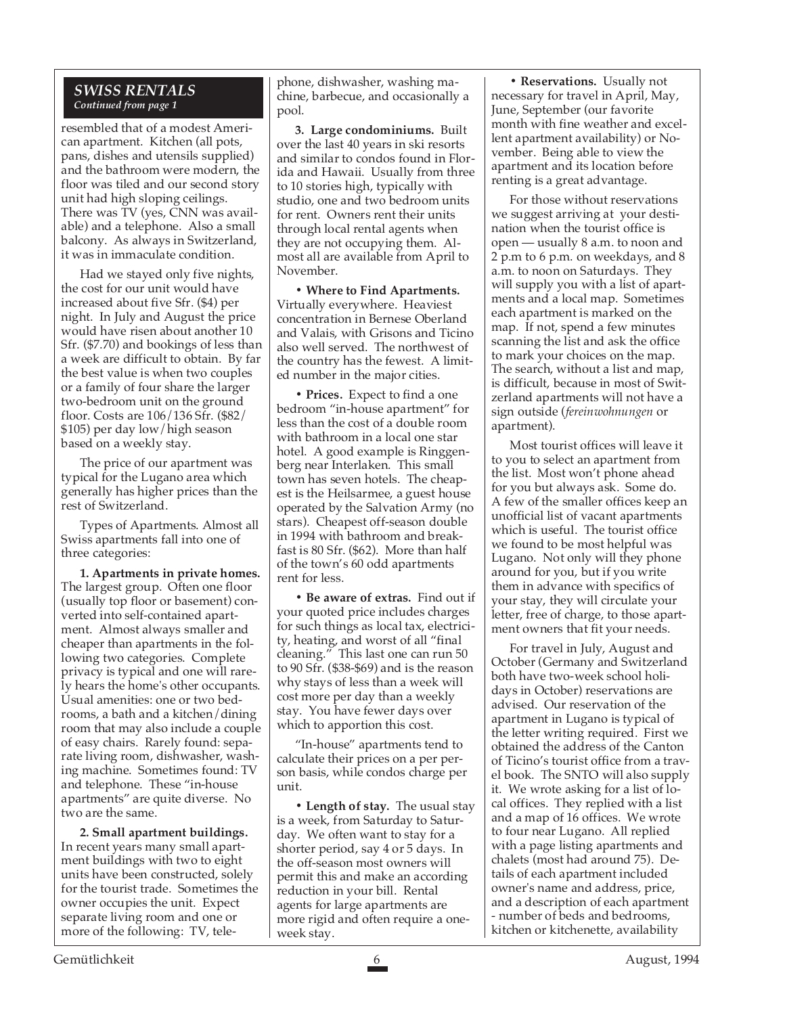### *SWISS RENTALS Continued from page 1*

resembled that of a modest American apartment. Kitchen (all pots, pans, dishes and utensils supplied) and the bathroom were modern, the floor was tiled and our second story unit had high sloping ceilings. There was TV (yes, CNN was available) and a telephone. Also a small balcony. As always in Switzerland, it was in immaculate condition.

Had we stayed only five nights, the cost for our unit would have increased about five Sfr. (\$4) per night. In July and August the price would have risen about another 10 Sfr. (\$7.70) and bookings of less than a week are difficult to obtain. By far the best value is when two couples or a family of four share the larger two-bedroom unit on the ground floor. Costs are 106/136 Sfr. (\$82/ \$105) per day low/high season based on a weekly stay.

The price of our apartment was typical for the Lugano area which generally has higher prices than the rest of Switzerland.

Types of Apartments. Almost all Swiss apartments fall into one of three categories:

**1. Apartments in private homes.** The largest group. Often one floor (usually top floor or basement) converted into self-contained apartment. Almost always smaller and cheaper than apartments in the following two categories. Complete privacy is typical and one will rarely hears the home's other occupants. Usual amenities: one or two bedrooms, a bath and a kitchen/dining room that may also include a couple of easy chairs. Rarely found: separate living room, dishwasher, washing machine. Sometimes found: TV and telephone. These "in-house apartments" are quite diverse. No two are the same.

**2. Small apartment buildings.** In recent years many small apartment buildings with two to eight units have been constructed, solely for the tourist trade. Sometimes the owner occupies the unit. Expect separate living room and one or more of the following: TV, tele-

phone, dishwasher, washing machine, barbecue, and occasionally a pool.

**3. Large condominiums.** Built over the last 40 years in ski resorts and similar to condos found in Florida and Hawaii. Usually from three to 10 stories high, typically with studio, one and two bedroom units for rent. Owners rent their units through local rental agents when they are not occupying them. Almost all are available from April to November.

**• Where to Find Apartments.** Virtually everywhere. Heaviest concentration in Bernese Oberland and Valais, with Grisons and Ticino also well served. The northwest of the country has the fewest. A limited number in the major cities.

**• Prices.** Expect to find a one bedroom "in-house apartment" for less than the cost of a double room with bathroom in a local one star hotel. A good example is Ringgenberg near Interlaken. This small town has seven hotels. The cheapest is the Heilsarmee, a guest house operated by the Salvation Army (no stars). Cheapest off-season double in 1994 with bathroom and breakfast is 80 Sfr. (\$62). More than half of the town's 60 odd apartments rent for less.

**• Be aware of extras.** Find out if your quoted price includes charges for such things as local tax, electricity, heating, and worst of all "final cleaning." This last one can run 50 to 90 Sfr. (\$38-\$69) and is the reason why stays of less than a week will cost more per day than a weekly stay. You have fewer days over which to apportion this cost.

"In-house" apartments tend to calculate their prices on a per person basis, while condos charge per unit.

**• Length of stay.** The usual stay is a week, from Saturday to Saturday. We often want to stay for a shorter period, say 4 or 5 days. In the off-season most owners will permit this and make an according reduction in your bill. Rental agents for large apartments are more rigid and often require a oneweek stay.

**• Reservations.** Usually not necessary for travel in April, May, June, September (our favorite month with fine weather and excellent apartment availability) or November. Being able to view the apartment and its location before renting is a great advantage.

For those without reservations we suggest arriving at your destination when the tourist office is open — usually 8 a.m. to noon and 2 p.m to 6 p.m. on weekdays, and 8 a.m. to noon on Saturdays. They will supply you with a list of apartments and a local map. Sometimes each apartment is marked on the map. If not, spend a few minutes scanning the list and ask the office to mark your choices on the map. The search, without a list and map, is difficult, because in most of Switzerland apartments will not have a sign outside (*fereinwohnungen* or apartment).

Most tourist offices will leave it to you to select an apartment from the list. Most won't phone ahead for you but always ask. Some do. A few of the smaller offices keep an unofficial list of vacant apartments which is useful. The tourist office we found to be most helpful was Lugano. Not only will they phone around for you, but if you write them in advance with specifics of your stay, they will circulate your letter, free of charge, to those apartment owners that fit your needs.

For travel in July, August and October (Germany and Switzerland both have two-week school holidays in October) reservations are advised. Our reservation of the apartment in Lugano is typical of the letter writing required. First we obtained the address of the Canton of Ticino's tourist office from a travel book. The SNTO will also supply it. We wrote asking for a list of local offices. They replied with a list and a map of 16 offices. We wrote to four near Lugano. All replied with a page listing apartments and chalets (most had around 75). Details of each apartment included owner's name and address, price, and a description of each apartment - number of beds and bedrooms, kitchen or kitchenette, availability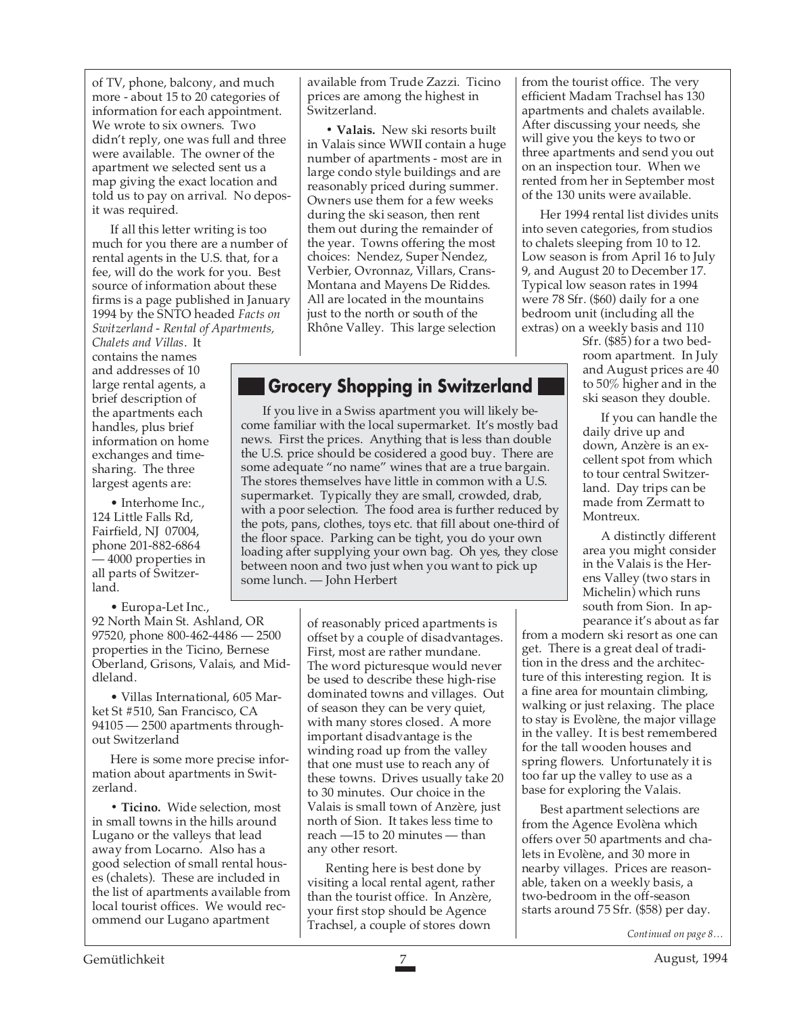of TV, phone, balcony, and much more - about 15 to 20 categories of information for each appointment. We wrote to six owners. Two didn't reply, one was full and three were available. The owner of the apartment we selected sent us a map giving the exact location and told us to pay on arrival. No deposit was required.

If all this letter writing is too much for you there are a number of rental agents in the U.S. that, for a fee, will do the work for you. Best source of information about these firms is a page published in January 1994 by the SNTO headed *Facts on Switzerland - Rental of Apartments,*

*Chalets and Villas*. It contains the names and addresses of 10 large rental agents, a brief description of the apartments each handles, plus brief information on home exchanges and timesharing. The three largest agents are:

• Interhome Inc., 124 Little Falls Rd, Fairfield, NJ 07004, phone 201-882-6864 — 4000 properties in all parts of Switzerland.

• Europa-Let Inc.,

92 North Main St. Ashland, OR 97520, phone 800-462-4486 — 2500 properties in the Ticino, Bernese Oberland, Grisons, Valais, and Middleland.

• Villas International, 605 Market St #510, San Francisco, CA 94105 — 2500 apartments throughout Switzerland

Here is some more precise information about apartments in Switzerland.

**• Ticino.** Wide selection, most in small towns in the hills around Lugano or the valleys that lead away from Locarno. Also has a good selection of small rental houses (chalets). These are included in the list of apartments available from local tourist offices. We would recommend our Lugano apartment

available from Trude Zazzi. Ticino prices are among the highest in Switzerland.

**• Valais.** New ski resorts built in Valais since WWII contain a huge number of apartments - most are in large condo style buildings and are reasonably priced during summer. Owners use them for a few weeks during the ski season, then rent them out during the remainder of the year. Towns offering the most choices: Nendez, Super Nendez, Verbier, Ovronnaz, Villars, Crans-Montana and Mayens De Riddes. All are located in the mountains just to the north or south of the Rhône Valley. This large selection

# **Grocery Shopping in Switzerland**

 If you live in a Swiss apartment you will likely become familiar with the local supermarket. It's mostly bad news. First the prices. Anything that is less than double the U.S. price should be cosidered a good buy. There are some adequate "no name" wines that are a true bargain. The stores themselves have little in common with a U.S. supermarket. Typically they are small, crowded, drab, with a poor selection. The food area is further reduced by the pots, pans, clothes, toys etc. that fill about one-third of the floor space. Parking can be tight, you do your own loading after supplying your own bag. Oh yes, they close between noon and two just when you want to pick up some lunch. — John Herbert

> of reasonably priced apartments is offset by a couple of disadvantages. First, most are rather mundane. The word picturesque would never be used to describe these high-rise dominated towns and villages. Out of season they can be very quiet, with many stores closed. A more important disadvantage is the winding road up from the valley that one must use to reach any of these towns. Drives usually take 20 to 30 minutes. Our choice in the Valais is small town of Anzère, just north of Sion. It takes less time to reach —15 to 20 minutes — than any other resort.

Renting here is best done by visiting a local rental agent, rather than the tourist office. In Anzère, your first stop should be Agence Trachsel, a couple of stores down

from the tourist office. The very efficient Madam Trachsel has 130 apartments and chalets available. After discussing your needs, she will give you the keys to two or three apartments and send you out on an inspection tour. When we rented from her in September most of the 130 units were available.

Her 1994 rental list divides units into seven categories, from studios to chalets sleeping from 10 to 12. Low season is from April 16 to July 9, and August 20 to December 17. Typical low season rates in 1994 were 78 Sfr. (\$60) daily for a one bedroom unit (including all the extras) on a weekly basis and 110

Sfr. (\$85) for a two bedroom apartment. In July and August prices are 40 to 50% higher and in the ski season they double.

If you can handle the daily drive up and down, Anzère is an excellent spot from which to tour central Switzerland. Day trips can be made from Zermatt to Montreuy

A distinctly different area you might consider in the Valais is the Herens Valley (two stars in Michelin) which runs south from Sion. In appearance it's about as far

from a modern ski resort as one can get. There is a great deal of tradition in the dress and the architecture of this interesting region. It is a fine area for mountain climbing, walking or just relaxing. The place to stay is Evolène, the major village in the valley. It is best remembered for the tall wooden houses and spring flowers. Unfortunately it is too far up the valley to use as a base for exploring the Valais.

Best apartment selections are from the Agence Evolèna which offers over 50 apartments and chalets in Evolène, and 30 more in nearby villages. Prices are reasonable, taken on a weekly basis, a two-bedroom in the off-season starts around 75 Sfr. (\$58) per day.

*Continued on page 8…*